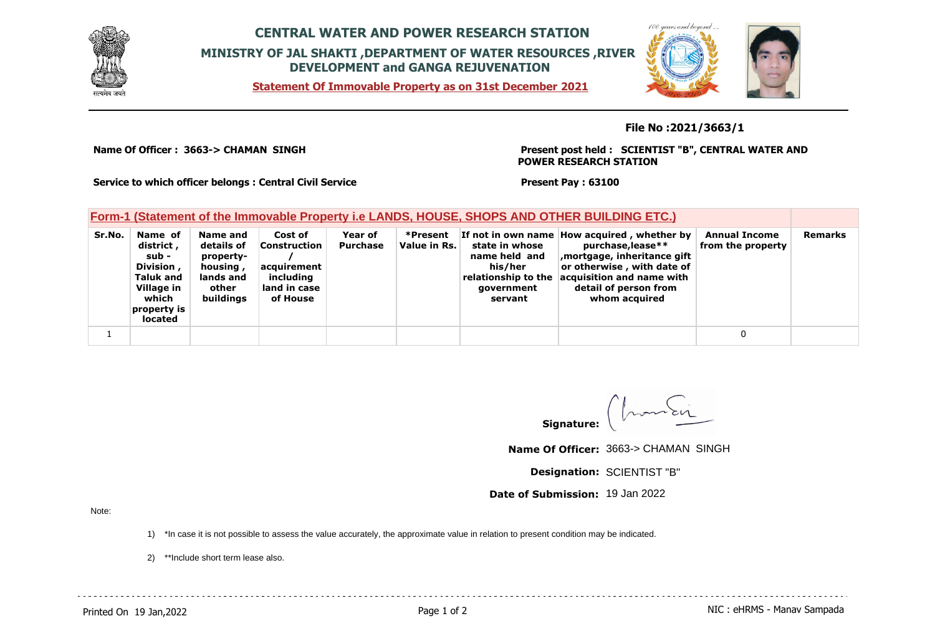

## **CENTRAL WATER AND POWER RESEARCH STATION MINISTRY OF JAL SHAKTI ,DEPARTMENT OF WATER RESOURCES ,RIVER DEVELOPMENT and GANGA REJUVENATION**

**Statement Of Immovable Property as on 31st December 2021**



**File No :2021/3663/1**

**Name Of Officer : 3663-> CHAMAN SINGH** 

**Present post held : SCIENTIST "B", CENTRAL WATER AND POWER RESEARCH STATION**

**Service to which officer belongs : Central Civil Service**

**Present Pay : 63100**

| Form-1 (Statement of the Immovable Property i.e LANDS, HOUSE, SHOPS AND OTHER BUILDING ETC.) |                                                                                                                 |                                                                                    |                                                                                 |                            |                          |                                                                                            |                                                                                                                                                                                                      |                                           |         |
|----------------------------------------------------------------------------------------------|-----------------------------------------------------------------------------------------------------------------|------------------------------------------------------------------------------------|---------------------------------------------------------------------------------|----------------------------|--------------------------|--------------------------------------------------------------------------------------------|------------------------------------------------------------------------------------------------------------------------------------------------------------------------------------------------------|-------------------------------------------|---------|
| Sr.No.                                                                                       | Name of<br>district,<br>sub -<br>Division,<br><b>Taluk and</b><br>Village in<br>which<br>property is<br>located | Name and<br>details of<br>property-<br>housing,<br>lands and<br>other<br>buildings | Cost of<br>Construction<br>acquirement<br>including<br>land in case<br>of House | Year of<br><b>Purchase</b> | *Present<br>Value in Rs. | state in whose<br>name held and<br>his/her<br>relationship to the<br>government<br>servant | If not in own name How acquired, whether by<br>purchase, lease**<br>mortgage, inheritance gift,<br>or otherwise, with date of<br>acquisition and name with<br>detail of person from<br>whom acquired | <b>Annual Income</b><br>from the property | Remarks |
|                                                                                              |                                                                                                                 |                                                                                    |                                                                                 |                            |                          |                                                                                            |                                                                                                                                                                                                      |                                           |         |

monten **Signature:**

. . . . . . . . . . . . . . . . . . .

**Name Of Officer:** 3663-> CHAMAN SINGH

**Designation:** SCIENTIST "B"

**Date of Submission:** 19 Jan 2022

Note:

1) \*In case it is not possible to assess the value accurately, the approximate value in relation to present condition may be indicated.

2) \*\*Include short term lease also.